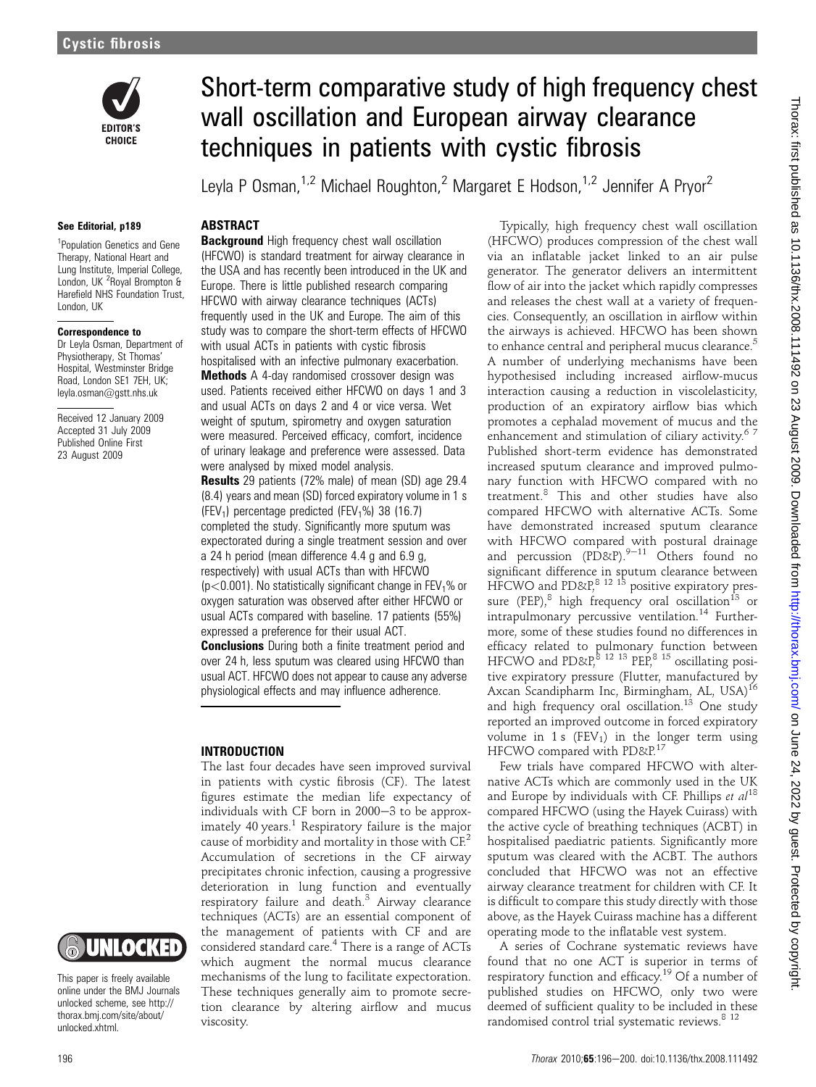

#### See Editorial, p189

<sup>1</sup>Population Genetics and Gene Therapy, National Heart and Lung Institute, Imperial College, London, UK<sup>2</sup> Royal Brompton & Harefield NHS Foundation Trust, London, UK

#### Correspondence to

Dr Leyla Osman, Department of Physiotherapy, St Thomas' Hospital, Westminster Bridge Road, London SE1 7EH, UK; leyla.osman@gstt.nhs.uk

Received 12 January 2009 Accepted 31 July 2009 Published Online First 23 August 2009



This paper is freely available online under the BMJ Journals unlocked scheme, see http:// thorax.bmj.com/site/about/ unlocked.xhtml.

# Short-term comparative study of high frequency chest wall oscillation and European airway clearance techniques in patients with cystic fibrosis

Leyla P Osman,<sup>1,2</sup> Michael Roughton,<sup>2</sup> Margaret E Hodson,<sup>1,2</sup> Jennifer A Pryor<sup>2</sup>

## **ABSTRACT**

**Background** High frequency chest wall oscillation (HFCWO) is standard treatment for airway clearance in the USA and has recently been introduced in the UK and Europe. There is little published research comparing HFCWO with airway clearance techniques (ACTs) frequently used in the UK and Europe. The aim of this study was to compare the short-term effects of HFCWO with usual ACTs in patients with cystic fibrosis

hospitalised with an infective pulmonary exacerbation. Methods A 4-day randomised crossover design was used. Patients received either HFCWO on days 1 and 3 and usual ACTs on days 2 and 4 or vice versa. Wet weight of sputum, spirometry and oxygen saturation were measured. Perceived efficacy, comfort, incidence of urinary leakage and preference were assessed. Data were analysed by mixed model analysis.

**Results** 29 patients (72% male) of mean (SD) age 29.4 (8.4) years and mean (SD) forced expiratory volume in 1 s (FEV<sub>1</sub>) percentage predicted (FEV<sub>1</sub>%) 38 (16.7) completed the study. Significantly more sputum was expectorated during a single treatment session and over a 24 h period (mean difference 4.4 g and 6.9 g, respectively) with usual ACTs than with HFCWO  $(p<0.001)$ . No statistically significant change in FEV<sub>1</sub>% or oxygen saturation was observed after either HFCWO or usual ACTs compared with baseline. 17 patients (55%) expressed a preference for their usual ACT.

**Conclusions** During both a finite treatment period and over 24 h, less sputum was cleared using HFCWO than usual ACT. HFCWO does not appear to cause any adverse physiological effects and may influence adherence.

### INTRODUCTION

The last four decades have seen improved survival in patients with cystic fibrosis (CF). The latest figures estimate the median life expectancy of individuals with CF born in  $2000-3$  to be approximately 40 years. $1$  Respiratory failure is the major cause of morbidity and mortality in those with  $CF<sup>2</sup>$ Accumulation of secretions in the CF airway precipitates chronic infection, causing a progressive deterioration in lung function and eventually respiratory failure and death.<sup>3</sup> Airway clearance techniques (ACTs) are an essential component of the management of patients with CF and are considered standard care.<sup>4</sup> There is a range of ACTs which augment the normal mucus clearance mechanisms of the lung to facilitate expectoration. These techniques generally aim to promote secretion clearance by altering airflow and mucus viscosity.

Typically, high frequency chest wall oscillation (HFCWO) produces compression of the chest wall via an inflatable jacket linked to an air pulse generator. The generator delivers an intermittent flow of air into the jacket which rapidly compresses and releases the chest wall at a variety of frequencies. Consequently, an oscillation in airflow within the airways is achieved. HFCWO has been shown to enhance central and peripheral mucus clearance.<sup>5</sup> A number of underlying mechanisms have been hypothesised including increased airflow-mucus interaction causing a reduction in viscolelasticity, production of an expiratory airflow bias which promotes a cephalad movement of mucus and the enhancement and stimulation of ciliary activity.<sup>67</sup> Published short-term evidence has demonstrated increased sputum clearance and improved pulmonary function with HFCWO compared with no treatment.<sup>8</sup> This and other studies have also compared HFCWO with alternative ACTs. Some have demonstrated increased sputum clearance with HFCWO compared with postural drainage and percussion  $(PD\&P)^{9-11}$  Others found no significant difference in sputum clearance between HFCWO and  $PD\&R^{8}$ ,  $12\frac{13}{12}$  positive expiratory pressure (PEP), $8$  high frequency oral oscillation<sup>13</sup> or intrapulmonary percussive ventilation. $14$  Furthermore, some of these studies found no differences in efficacy related to pulmonary function between HFCWO and PD&P, $8^{3}$  12 13 PEP, $8^{15}$  oscillating positive expiratory pressure (Flutter, manufactured by Axcan Scandipharm Inc, Birmingham, AL, USA)<sup>16</sup> and high frequency oral oscillation.<sup>13</sup> One study reported an improved outcome in forced expiratory volume in 1 s  $(FEV_1)$  in the longer term using HFCWO compared with PD&P.<sup>17</sup>

Few trials have compared HFCWO with alternative ACTs which are commonly used in the UK and Europe by individuals with CF. Phillips et  $al^{18}$ compared HFCWO (using the Hayek Cuirass) with the active cycle of breathing techniques (ACBT) in hospitalised paediatric patients. Significantly more sputum was cleared with the ACBT. The authors concluded that HFCWO was not an effective airway clearance treatment for children with CF. It is difficult to compare this study directly with those above, as the Hayek Cuirass machine has a different operating mode to the inflatable vest system.

A series of Cochrane systematic reviews have found that no one ACT is superior in terms of respiratory function and efficacy.<sup>19</sup> Of a number of published studies on HFCWO, only two were deemed of sufficient quality to be included in these randomised control trial systematic reviews.<sup>8 12</sup>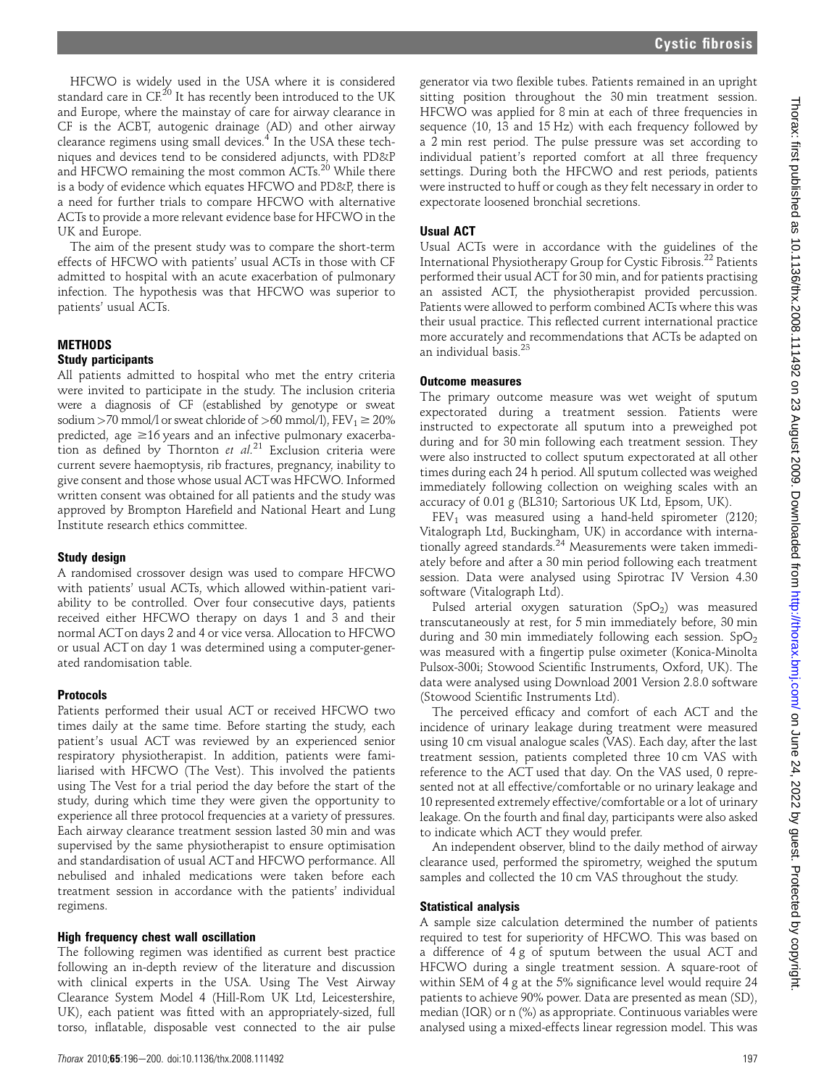HFCWO is widely used in the USA where it is considered standard care in CF.<sup>20</sup> It has recently been introduced to the UK and Europe, where the mainstay of care for airway clearance in CF is the ACBT, autogenic drainage (AD) and other airway clearance regimens using small devices.<sup>4</sup> In the USA these techniques and devices tend to be considered adjuncts, with PD&P and HFCWO remaining the most common ACTs.<sup>20</sup> While there is a body of evidence which equates HFCWO and PD&P, there is a need for further trials to compare HFCWO with alternative ACTs to provide a more relevant evidence base for HFCWO in the UK and Europe.

The aim of the present study was to compare the short-term effects of HFCWO with patients' usual ACTs in those with CF admitted to hospital with an acute exacerbation of pulmonary infection. The hypothesis was that HFCWO was superior to patients' usual ACTs.

#### **METHODS**

#### Study participants

All patients admitted to hospital who met the entry criteria were invited to participate in the study. The inclusion criteria were a diagnosis of CF (established by genotype or sweat sodium >70 mmol/l or sweat chloride of >60 mmol/l),  $FEV_1 \ge 20\%$ predicted, age  $\geq$ 16 years and an infective pulmonary exacerbation as defined by Thornton et  $al^{21}$  Exclusion criteria were current severe haemoptysis, rib fractures, pregnancy, inability to give consent and those whose usual ACTwas HFCWO. Informed written consent was obtained for all patients and the study was approved by Brompton Harefield and National Heart and Lung Institute research ethics committee.

#### Study design

A randomised crossover design was used to compare HFCWO with patients' usual ACTs, which allowed within-patient variability to be controlled. Over four consecutive days, patients received either HFCWO therapy on days 1 and 3 and their normal ACTon days 2 and 4 or vice versa. Allocation to HFCWO or usual ACT on day 1 was determined using a computer-generated randomisation table.

#### Protocols

Patients performed their usual ACT or received HFCWO two times daily at the same time. Before starting the study, each patient's usual ACT was reviewed by an experienced senior respiratory physiotherapist. In addition, patients were familiarised with HFCWO (The Vest). This involved the patients using The Vest for a trial period the day before the start of the study, during which time they were given the opportunity to experience all three protocol frequencies at a variety of pressures. Each airway clearance treatment session lasted 30 min and was supervised by the same physiotherapist to ensure optimisation and standardisation of usual ACTand HFCWO performance. All nebulised and inhaled medications were taken before each treatment session in accordance with the patients' individual regimens.

#### High frequency chest wall oscillation

The following regimen was identified as current best practice following an in-depth review of the literature and discussion with clinical experts in the USA. Using The Vest Airway Clearance System Model 4 (Hill-Rom UK Ltd, Leicestershire, UK), each patient was fitted with an appropriately-sized, full torso, inflatable, disposable vest connected to the air pulse

generator via two flexible tubes. Patients remained in an upright sitting position throughout the 30 min treatment session. HFCWO was applied for 8 min at each of three frequencies in sequence (10, 13 and 15 Hz) with each frequency followed by a 2 min rest period. The pulse pressure was set according to individual patient's reported comfort at all three frequency settings. During both the HFCWO and rest periods, patients were instructed to huff or cough as they felt necessary in order to expectorate loosened bronchial secretions.

#### Usual ACT

Usual ACTs were in accordance with the guidelines of the International Physiotherapy Group for Cystic Fibrosis.<sup>22</sup> Patients performed their usual ACT for 30 min, and for patients practising an assisted ACT, the physiotherapist provided percussion. Patients were allowed to perform combined ACTs where this was their usual practice. This reflected current international practice more accurately and recommendations that ACTs be adapted on an individual basis.<sup>23</sup>

#### Outcome measures

The primary outcome measure was wet weight of sputum expectorated during a treatment session. Patients were instructed to expectorate all sputum into a preweighed pot during and for 30 min following each treatment session. They were also instructed to collect sputum expectorated at all other times during each 24 h period. All sputum collected was weighed immediately following collection on weighing scales with an accuracy of 0.01 g (BL310; Sartorious UK Ltd, Epsom, UK).

 $FEV<sub>1</sub>$  was measured using a hand-held spirometer (2120; Vitalograph Ltd, Buckingham, UK) in accordance with internationally agreed standards.<sup>24</sup> Measurements were taken immediately before and after a 30 min period following each treatment session. Data were analysed using Spirotrac IV Version 4.30 software (Vitalograph Ltd).

Pulsed arterial oxygen saturation (SpO<sub>2</sub>) was measured transcutaneously at rest, for 5 min immediately before, 30 min during and 30 min immediately following each session.  $SpO<sub>2</sub>$ was measured with a fingertip pulse oximeter (Konica-Minolta Pulsox-300i; Stowood Scientific Instruments, Oxford, UK). The data were analysed using Download 2001 Version 2.8.0 software (Stowood Scientific Instruments Ltd).

The perceived efficacy and comfort of each ACT and the incidence of urinary leakage during treatment were measured using 10 cm visual analogue scales (VAS). Each day, after the last treatment session, patients completed three 10 cm VAS with reference to the ACT used that day. On the VAS used, 0 represented not at all effective/comfortable or no urinary leakage and 10 represented extremely effective/comfortable or a lot of urinary leakage. On the fourth and final day, participants were also asked to indicate which ACT they would prefer.

An independent observer, blind to the daily method of airway clearance used, performed the spirometry, weighed the sputum samples and collected the 10 cm VAS throughout the study.

#### Statistical analysis

A sample size calculation determined the number of patients required to test for superiority of HFCWO. This was based on a difference of 4 g of sputum between the usual ACT and HFCWO during a single treatment session. A square-root of within SEM of 4 g at the 5% significance level would require 24 patients to achieve 90% power. Data are presented as mean (SD), median (IQR) or n (%) as appropriate. Continuous variables were analysed using a mixed-effects linear regression model. This was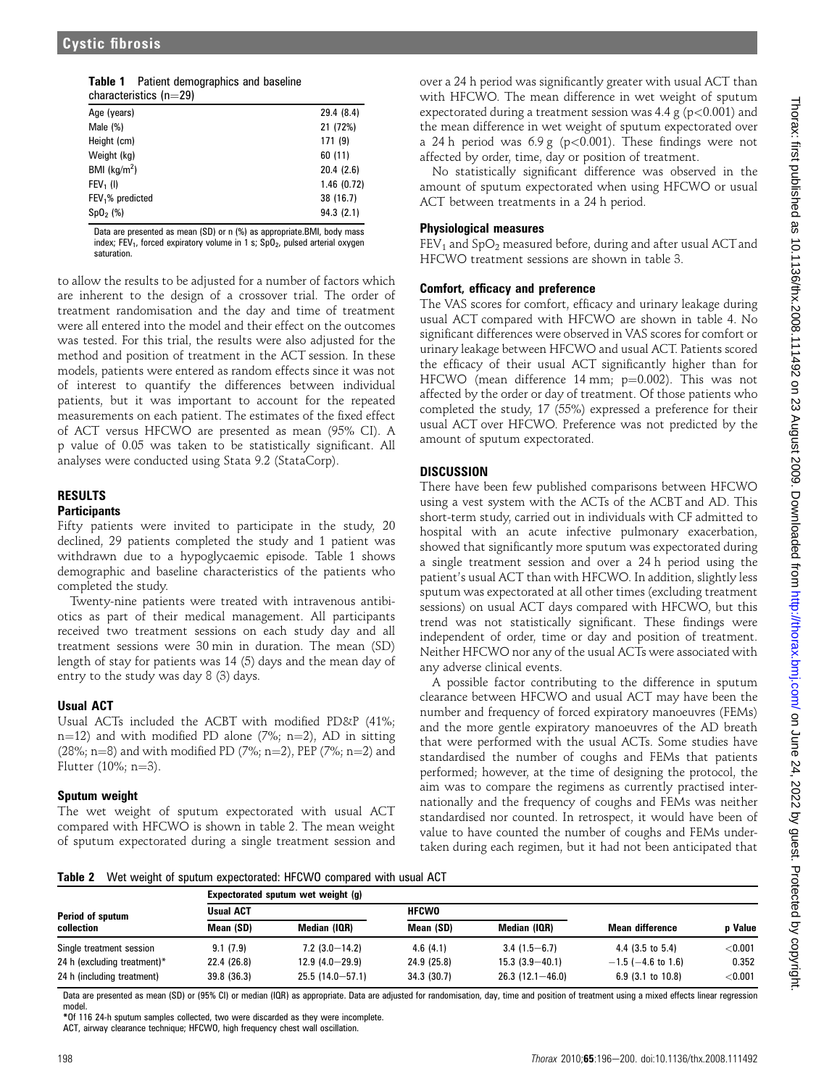| <b>Table 1</b> Patient demographics and baseline |
|--------------------------------------------------|
| charactorictics (n-20)                           |

| characteristics $(n=29)$ |            |
|--------------------------|------------|
| Age (years)              | 29.4 (8.4) |
| Male $(\%)$              | 21 (72%)   |
| Height (cm)              | 171(9)     |
| Weight (kg)              | 60(11)     |
| BMI $(kg/m2)$            | 20.4(2.6)  |
| $FEV1$ (I)               | 1.46(0.72) |
| $FEV1%$ predicted        | 38 (16.7)  |
| Sp0, (%)                 | 94.3(2.1)  |

Data are presented as mean (SD) or n (%) as appropriate.BMI, body mass index; FEV<sub>1</sub>, forced expiratory volume in 1 s;  $SpO<sub>2</sub>$ , pulsed arterial oxygen saturation.

to allow the results to be adjusted for a number of factors which are inherent to the design of a crossover trial. The order of treatment randomisation and the day and time of treatment were all entered into the model and their effect on the outcomes was tested. For this trial, the results were also adjusted for the method and position of treatment in the ACT session. In these models, patients were entered as random effects since it was not of interest to quantify the differences between individual patients, but it was important to account for the repeated measurements on each patient. The estimates of the fixed effect of ACT versus HFCWO are presented as mean (95% CI). A p value of 0.05 was taken to be statistically significant. All analyses were conducted using Stata 9.2 (StataCorp).

### RESULTS **Participants**

Fifty patients were invited to participate in the study, 20 declined, 29 patients completed the study and 1 patient was withdrawn due to a hypoglycaemic episode. Table 1 shows demographic and baseline characteristics of the patients who completed the study.

Twenty-nine patients were treated with intravenous antibiotics as part of their medical management. All participants received two treatment sessions on each study day and all treatment sessions were 30 min in duration. The mean (SD) length of stay for patients was 14 (5) days and the mean day of entry to the study was day 8 (3) days.

## Usual ACT

Usual ACTs included the ACBT with modified PD&P (41%; n=12) and with modified PD alone (7%; n=2), AD in sitting (28%; n=8) and with modified PD (7%; n=2), PEP (7%; n=2) and Flutter  $(10\%; n=3)$ .

## Sputum weight

The wet weight of sputum expectorated with usual ACT compared with HFCWO is shown in table 2. The mean weight of sputum expectorated during a single treatment session and

over a 24 h period was significantly greater with usual ACT than with HFCWO. The mean difference in wet weight of sputum expectorated during a treatment session was 4.4 g ( $p<0.001$ ) and the mean difference in wet weight of sputum expectorated over a 24 h period was  $6.9 \text{ g}$  (p<0.001). These findings were not affected by order, time, day or position of treatment.

No statistically significant difference was observed in the amount of sputum expectorated when using HFCWO or usual ACT between treatments in a 24 h period.

## Physiological measures

 $FEV<sub>1</sub>$  and SpO<sub>2</sub> measured before, during and after usual ACT and HFCWO treatment sessions are shown in table 3.

## Comfort, efficacy and preference

The VAS scores for comfort, efficacy and urinary leakage during usual ACT compared with HFCWO are shown in table 4. No significant differences were observed in VAS scores for comfort or urinary leakage between HFCWO and usual ACT. Patients scored the efficacy of their usual ACT significantly higher than for HFCWO (mean difference 14 mm;  $p=0.002$ ). This was not affected by the order or day of treatment. Of those patients who completed the study, 17 (55%) expressed a preference for their usual ACT over HFCWO. Preference was not predicted by the amount of sputum expectorated.

## **DISCUSSION**

There have been few published comparisons between HFCWO using a vest system with the ACTs of the ACBT and AD. This short-term study, carried out in individuals with CF admitted to hospital with an acute infective pulmonary exacerbation, showed that significantly more sputum was expectorated during a single treatment session and over a 24 h period using the patient's usual ACT than with HFCWO. In addition, slightly less sputum was expectorated at all other times (excluding treatment sessions) on usual ACT days compared with HFCWO, but this trend was not statistically significant. These findings were independent of order, time or day and position of treatment. Neither HFCWO nor any of the usual ACTs were associated with any adverse clinical events.

A possible factor contributing to the difference in sputum clearance between HFCWO and usual ACT may have been the number and frequency of forced expiratory manoeuvres (FEMs) and the more gentle expiratory manoeuvres of the AD breath that were performed with the usual ACTs. Some studies have standardised the number of coughs and FEMs that patients performed; however, at the time of designing the protocol, the aim was to compare the regimens as currently practised internationally and the frequency of coughs and FEMs was neither standardised nor counted. In retrospect, it would have been of value to have counted the number of coughs and FEMs undertaken during each regimen, but it had not been anticipated that

Table 2 Wet weight of sputum expectorated: HFCWO compared with usual ACT

|                                | Expectorated sputum wet weight (g) |                     |              |                     |                         |           |  |
|--------------------------------|------------------------------------|---------------------|--------------|---------------------|-------------------------|-----------|--|
| Period of sputum<br>collection | <b>Usual ACT</b>                   |                     | <b>HFCWO</b> |                     |                         |           |  |
|                                | Mean (SD)                          | Median (IQR)        | Mean (SD)    | Median (IQR)        | <b>Mean difference</b>  | p Value   |  |
| Single treatment session       | 9.1(7.9)                           | $7.2(3.0-14.2)$     | 4.6(4.1)     | $3.4(1.5-6.7)$      | $4.4$ (3.5 to 5.4)      | $<$ 0.001 |  |
| 24 h (excluding treatment)*    | 22.4 (26.8)                        | $12.9(4.0 - 29.9)$  | 24.9 (25.8)  | $15.3(3.9 - 40.1)$  | $-1.5$ ( $-4.6$ to 1.6) | 0.352     |  |
| 24 h (including treatment)     | 39.8 (36.3)                        | $25.5(14.0 - 57.1)$ | 34.3(30.7)   | $26.3(12.1 - 46.0)$ | $6.9$ (3.1 to 10.8)     | < 0.001   |  |

Data are presented as mean (SD) or (95% CI) or median (IQR) as appropriate. Data are adjusted for randomisation, day, time and position of treatment using a mixed effects linear regression model.

\*Of 116 24-h sputum samples collected, two were discarded as they were incomplete.

ACT, airway clearance technique; HFCWO, high frequency chest wall oscillation.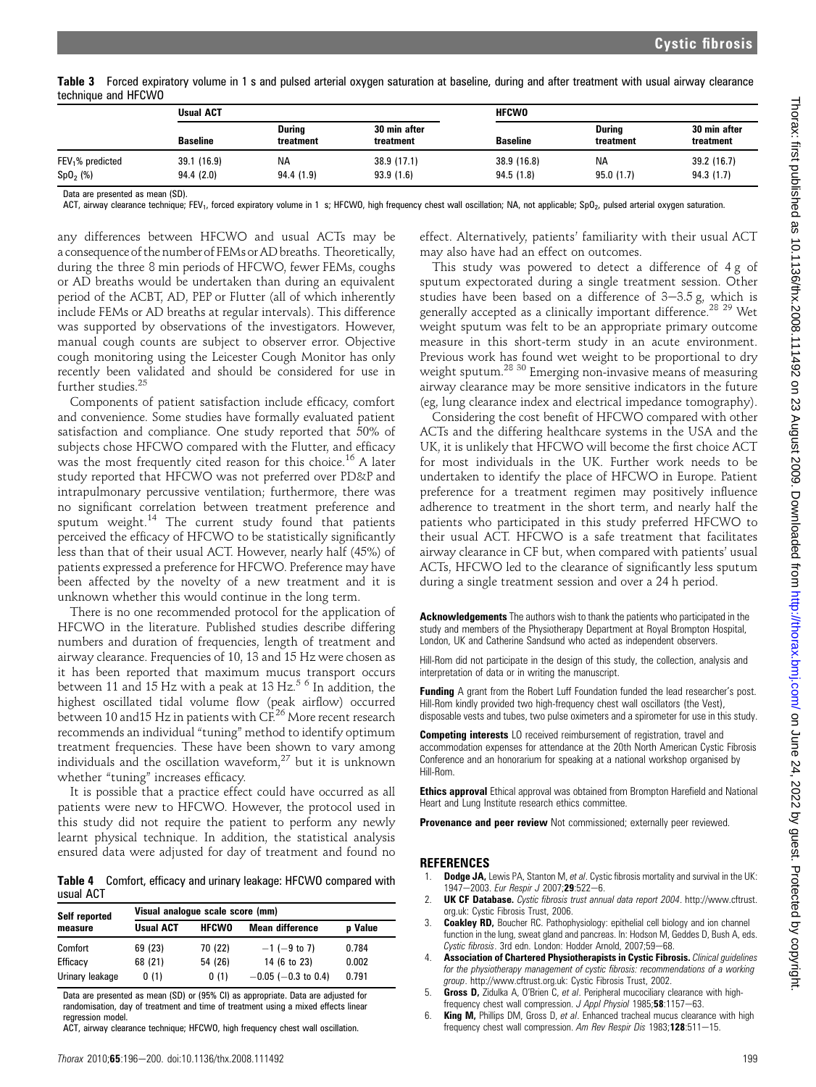Table 3 Forced expiratory volume in 1 s and pulsed arterial oxygen saturation at baseline, during and after treatment with usual airway clearance technique and HFCWO

|                              | <b>Usual ACT</b> |                            |                           | <b>HFCWO</b>    |                            |                           |
|------------------------------|------------------|----------------------------|---------------------------|-----------------|----------------------------|---------------------------|
|                              | <b>Baseline</b>  | <b>During</b><br>treatment | 30 min after<br>treatment | <b>Baseline</b> | <b>Durina</b><br>treatment | 30 min after<br>treatment |
| FEV <sub>1</sub> % predicted | 39.1 (16.9)      | ΝA                         | 38.9 (17.1)               | 38.9 (16.8)     | NA                         | 39.2(16.7)                |
| SpO <sub>2</sub> (%)         | 94.4(2.0)        | 94.4 (1.9)                 | 93.9(1.6)                 | 94.5(1.8)       | 95.0(1.7)                  | 94.3(1.7)                 |

Data are presented as mean (SD).

ACT, airway clearance technique; FEV<sub>1</sub>, forced expiratory volume in 1 s; HFCWO, high frequency chest wall oscillation; NA, not applicable; SpO<sub>2</sub>, pulsed arterial oxygen saturation.

any differences between HFCWO and usual ACTs may be a consequence of the number of FEMs or AD breaths. Theoretically, during the three 8 min periods of HFCWO, fewer FEMs, coughs or AD breaths would be undertaken than during an equivalent period of the ACBT, AD, PEP or Flutter (all of which inherently include FEMs or AD breaths at regular intervals). This difference was supported by observations of the investigators. However, manual cough counts are subject to observer error. Objective cough monitoring using the Leicester Cough Monitor has only recently been validated and should be considered for use in further studies.<sup>25</sup>

Components of patient satisfaction include efficacy, comfort and convenience. Some studies have formally evaluated patient satisfaction and compliance. One study reported that 50% of subjects chose HFCWO compared with the Flutter, and efficacy was the most frequently cited reason for this choice.<sup>16</sup> A later study reported that HFCWO was not preferred over PD&P and intrapulmonary percussive ventilation; furthermore, there was no significant correlation between treatment preference and sputum weight.<sup>14</sup> The current study found that patients perceived the efficacy of HFCWO to be statistically significantly less than that of their usual ACT. However, nearly half (45%) of patients expressed a preference for HFCWO. Preference may have been affected by the novelty of a new treatment and it is unknown whether this would continue in the long term.

There is no one recommended protocol for the application of HFCWO in the literature. Published studies describe differing numbers and duration of frequencies, length of treatment and airway clearance. Frequencies of 10, 13 and 15 Hz were chosen as it has been reported that maximum mucus transport occurs between 11 and 15 Hz with a peak at 13 Hz.<sup>5 6</sup> In addition, the highest oscillated tidal volume flow (peak airflow) occurred between 10 and 15 Hz in patients with CF.<sup>26</sup> More recent research recommends an individual "tuning" method to identify optimum treatment frequencies. These have been shown to vary among individuals and the oscillation waveform, $27$  but it is unknown whether "tuning" increases efficacy.

It is possible that a practice effect could have occurred as all patients were new to HFCWO. However, the protocol used in this study did not require the patient to perform any newly learnt physical technique. In addition, the statistical analysis ensured data were adjusted for day of treatment and found no

Table 4 Comfort, efficacy and urinary leakage: HFCWO compared with usual ACT

| Self reported   | Visual analoque scale score (mm) |              |                          |         |  |  |
|-----------------|----------------------------------|--------------|--------------------------|---------|--|--|
| measure         | <b>Usual ACT</b>                 | <b>HFCWO</b> | <b>Mean difference</b>   | p Value |  |  |
| Comfort         | 69 (23)                          | 70 (22)      | $-1$ (-9 to 7)           | 0.784   |  |  |
| Efficacy        | 68 (21)                          | 54 (26)      | 14 (6 to 23)             | 0.002   |  |  |
| Urinary leakage | 0(1)                             | 0(1)         | $-0.05$ ( $-0.3$ to 0.4) | 0.791   |  |  |

Data are presented as mean (SD) or (95% CI) as appropriate. Data are adjusted for randomisation, day of treatment and time of treatment using a mixed effects linear regression model.

ACT, airway clearance technique; HFCWO, high frequency chest wall oscillation.

effect. Alternatively, patients' familiarity with their usual ACT may also have had an effect on outcomes.

This study was powered to detect a difference of 4 g of sputum expectorated during a single treatment session. Other studies have been based on a difference of  $3-3.5$  g, which is generally accepted as a clinically important difference.<sup>28</sup> <sup>29</sup> Wet weight sputum was felt to be an appropriate primary outcome measure in this short-term study in an acute environment. Previous work has found wet weight to be proportional to dry weight sputum.28 30 Emerging non-invasive means of measuring airway clearance may be more sensitive indicators in the future (eg, lung clearance index and electrical impedance tomography).

Considering the cost benefit of HFCWO compared with other ACTs and the differing healthcare systems in the USA and the UK, it is unlikely that HFCWO will become the first choice ACT for most individuals in the UK. Further work needs to be undertaken to identify the place of HFCWO in Europe. Patient preference for a treatment regimen may positively influence adherence to treatment in the short term, and nearly half the patients who participated in this study preferred HFCWO to their usual ACT. HFCWO is a safe treatment that facilitates airway clearance in CF but, when compared with patients' usual ACTs, HFCWO led to the clearance of significantly less sputum during a single treatment session and over a 24 h period.

Acknowledgements The authors wish to thank the patients who participated in the study and members of the Physiotherapy Department at Royal Brompton Hospital, London, UK and Catherine Sandsund who acted as independent observers.

Hill-Rom did not participate in the design of this study, the collection, analysis and interpretation of data or in writing the manuscript.

**Funding** A grant from the Robert Luff Foundation funded the lead researcher's post. Hill-Rom kindly provided two high-frequency chest wall oscillators (the Vest), disposable vests and tubes, two pulse oximeters and a spirometer for use in this study.

Competing interests LO received reimbursement of registration, travel and accommodation expenses for attendance at the 20th North American Cystic Fibrosis Conference and an honorarium for speaking at a national workshop organised by Hill-Rom.

Ethics approval Ethical approval was obtained from Brompton Harefield and National Heart and Lung Institute research ethics committee.

Provenance and peer review Not commissioned; externally peer reviewed.

#### REFERENCES

- 1. Dodge JA, Lewis PA, Stanton M, et al. Cystic fibrosis mortality and survival in the UK: 1947-2003. Eur Respir J 2007;29:522-6.
- 2. **UK CF Database.** Cystic fibrosis trust annual data report 2004. http://www.cftrust. org.uk: Cystic Fibrosis Trust, 2006.
- 3. Coakley RD, Boucher RC. Pathophysiology: epithelial cell biology and ion channel function in the lung, sweat gland and pancreas. In: Hodson M, Geddes D, Bush A, eds. Cystic fibrosis. 3rd edn. London: Hodder Arnold, 2007;59-68.
- 4. Association of Chartered Physiotherapists in Cystic Fibrosis. Clinical guidelines for the physiotherapy management of cystic fibrosis: recommendations of a working group. http://www.cftrust.org.uk: Cystic Fibrosis Trust, 2002.
- 5. Gross D, Zidulka A, O'Brien C, et al. Peripheral mucociliary clearance with highfrequency chest wall compression. J Appl Physiol 1985;58:1157-63.
- 6. **King M,** Phillips DM, Gross D, et al. Enhanced tracheal mucus clearance with high frequency chest wall compression. Am Rev Respir Dis 1983;128:511-15.